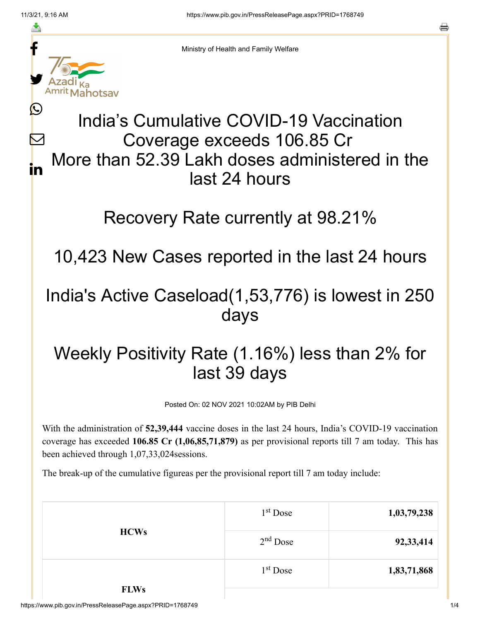≛

Ŀ

 $\bm{\nabla}$ 

in



Ministry of Health and Family Welfare

## India's Cumulative COVID-19 Vaccination Coverage exceeds 106.85 Cr More than 52.39 Lakh doses administered in the last 24 hours

## Recovery Rate currently at 98.21%

10,423 New Cases reported in the last 24 hours

## India's Active Caseload(1,53,776) is lowest in 250 days

## Weekly Positivity Rate (1.16%) less than 2% for last 39 days

Posted On: 02 NOV 2021 10:02AM by PIB Delhi

With the administration of **52,39,444** vaccine doses in the last 24 hours, India's COVID-19 vaccination coverage has exceeded **106.85 Cr (1,06,85,71,879)** as per provisional reports till 7 am today. This has been achieved through 1,07,33,024sessions.

The break-up of the cumulative figureas per the provisional report till 7 am today include:

| <b>HCWs</b> | $1st$ Dose           | 1,03,79,238 |
|-------------|----------------------|-------------|
|             | $2nd$ Dose           | 92, 33, 414 |
|             | 1 <sup>st</sup> Dose | 1,83,71,868 |
| <b>FLWs</b> |                      |             |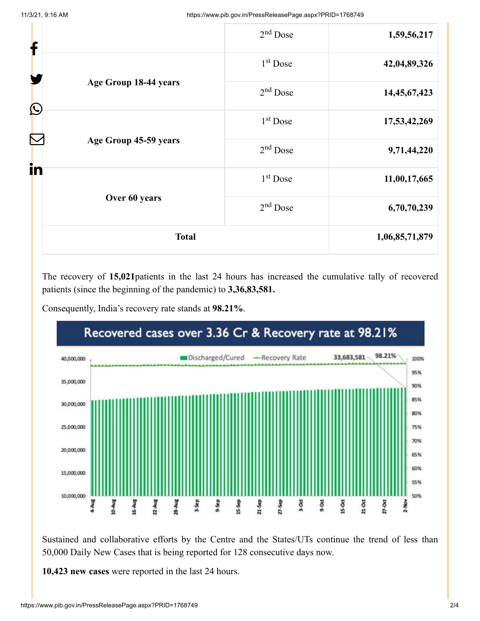| f          |                       | $2nd$ Dose           | 1,59,56,217    |
|------------|-----------------------|----------------------|----------------|
|            | 1 <sup>st</sup> Dose  | 42,04,89,326         |                |
|            | Age Group 18-44 years | $2nd$ Dose           | 14,45,67,423   |
| $\bigcirc$ |                       | 1 <sup>st</sup> Dose | 17,53,42,269   |
|            | Age Group 45-59 years | $2nd$ Dose           | 9,71,44,220    |
| in         |                       | 1 <sup>st</sup> Dose | 11,00,17,665   |
|            | Over 60 years         | $2nd$ Dose           | 6,70,70,239    |
|            | <b>Total</b>          |                      | 1,06,85,71,879 |

The recovery of **15,021**patients in the last 24 hours has increased the cumulative tally of recovered patients (since the beginning of the pandemic) to **3,36,83,581.**





Sustained and collaborative efforts by the Centre and the States/UTs continue the trend of less than 50,000 Daily New Cases that is being reported for 128 consecutive days now.

**10,423 new cases** were reported in the last 24 hours.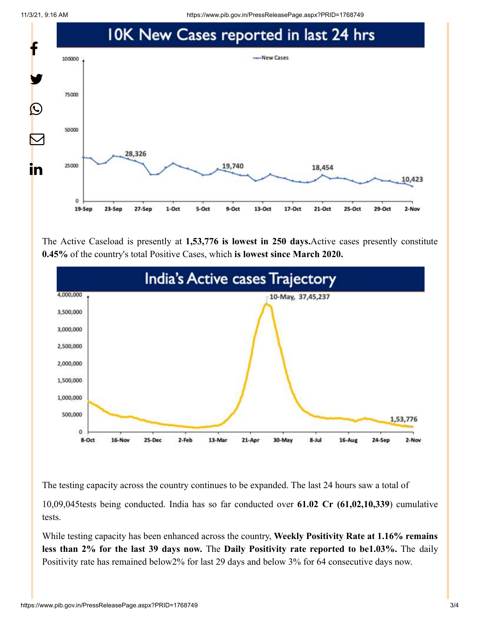11/3/21, 9:16 AM https://www.pib.gov.in/PressReleasePage.aspx?PRID=1768749



The Active Caseload is presently at **1,53,776 is lowest in 250 days.**Active cases presently constitute **0.45%** of the country's total Positive Cases, which **is lowest since March 2020.**



The testing capacity across the country continues to be expanded. The last 24 hours saw a total of

10,09,045tests being conducted. India has so far conducted over **61.02 Cr (61,02,10,339**) cumulative tests.

While testing capacity has been enhanced across the country, **Weekly Positivity Rate at 1.16% remains less than 2% for the last 39 days now.** The **Daily Positivity rate reported to be1.03%.** The daily Positivity rate has remained below2% for last 29 days and below 3% for 64 consecutive days now.